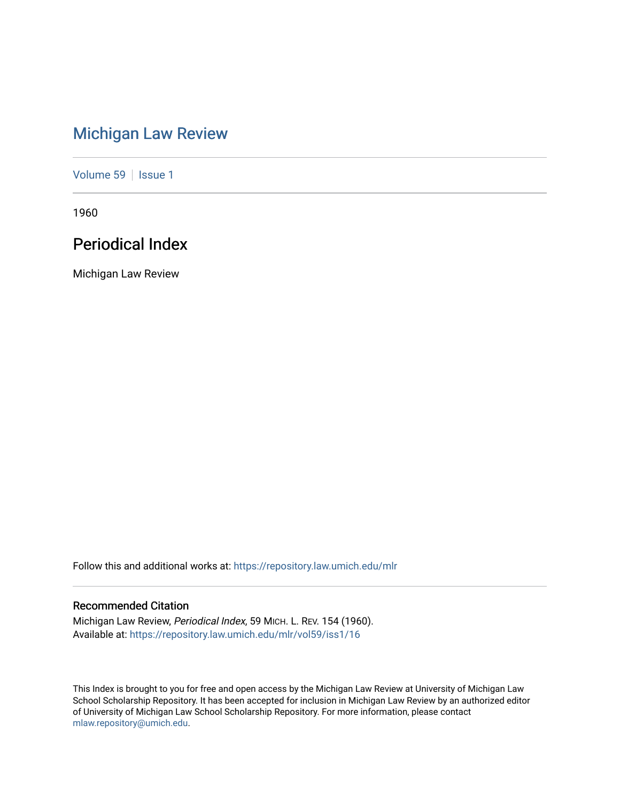# [Michigan Law Review](https://repository.law.umich.edu/mlr)

[Volume 59](https://repository.law.umich.edu/mlr/vol59) | [Issue 1](https://repository.law.umich.edu/mlr/vol59/iss1)

1960

# Periodical Index

Michigan Law Review

Follow this and additional works at: [https://repository.law.umich.edu/mlr](https://repository.law.umich.edu/mlr?utm_source=repository.law.umich.edu%2Fmlr%2Fvol59%2Fiss1%2F16&utm_medium=PDF&utm_campaign=PDFCoverPages) 

## Recommended Citation

Michigan Law Review, Periodical Index, 59 MICH. L. REV. 154 (1960). Available at: [https://repository.law.umich.edu/mlr/vol59/iss1/16](https://repository.law.umich.edu/mlr/vol59/iss1/16?utm_source=repository.law.umich.edu%2Fmlr%2Fvol59%2Fiss1%2F16&utm_medium=PDF&utm_campaign=PDFCoverPages) 

This Index is brought to you for free and open access by the Michigan Law Review at University of Michigan Law School Scholarship Repository. It has been accepted for inclusion in Michigan Law Review by an authorized editor of University of Michigan Law School Scholarship Repository. For more information, please contact [mlaw.repository@umich.edu.](mailto:mlaw.repository@umich.edu)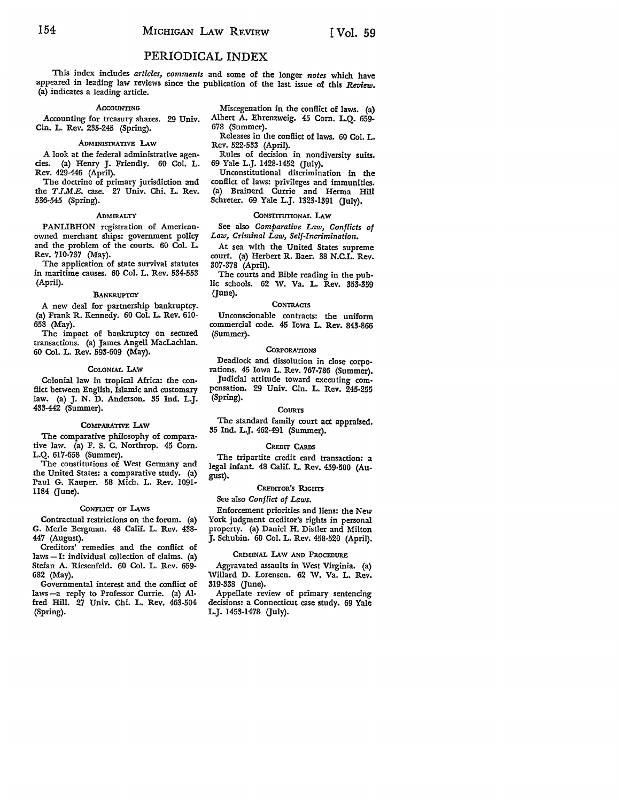## PERIODICAL INDEX

This index includes *articles, comments* and some of the longer *notes* which have appeared in leading law reviews since the publication of the last issue of this *Review.*  (a) indicates a leading article.

#### **ACCOUNTING**

Accounting for treasury shares. 29 Univ. Cin. L. Rev. 235-245 (Spring).

## ADMINISTRATIVE LAW

A look at the federal administrative agencies. (a) Henry J. Friendly. 60 Col. L. Rev. 429-446 (April).

The doctrine of primary jurisdiction and the *T JM.E.* case. 27 Univ. Chi. L. Rev. 536-545 (Spring).

## .ADMIRALTY

PANLIBHON registration of American• owned merchant ships: government policy and the problem of the courts. 60 Col. L. Rev. 710-737 (May).

The application of state survival statutes in maritime causes. 60 Col. L. Rev. 534-553 (April).

#### **BANKRUPTCY**

A new deal for partnership bankruptcy. (a) Frank R. Kennedy. 60 Col. L. Rev. 610- 658 (May).

The impact of bankruptcy on secured transactions. (a) James Angell MacLachlan. 60 Col. L. Rev. 593-609 (May).

### COLONIAL LAW

Colonial law in tropical Africa: the conflict between English, Islamic and customary law. (a) J. N. D. Anderson. 35 Ind. L.J. 433-442 (Summer).

#### COMPARATIVE LAW

The comparative philosophy of comparative law. (a) F. S. C. Northrop. 45 Com. L.Q. 617-658 (Summer).

The constitutions of West Germany and the United States: a comparative study. (a) Paul G. Kauper. 58 Mich. L. Rev. 1091- 1184 (June).

#### CONFLICT OF LAws

Contractual restrictions on the forum. (a) G. Merle Bergman. 48 Calif. L. Rev. 438- 447 (August).

Creditors' remedies and the conflict of laws - I: individual collection of claims. (a) Stefan A. Riesenfeld. 60 Col. L. Rev. 659- 682 (May).

Governmental interest and the conflict of laws -a reply to Professor Currie. (a) Alfred Hill. 27 Univ. Chi. L. Rev. 463-504 (Spring).

Miscegenation in the conflict of laws. (a) Albert A. Ehrenzweig. 45 Corn. L.Q. 659- 678 (Summer).

Releases in the conflict of laws. 60 Col. L. Rev. 522-533 (April).

Rules of decision in nondiversity suits. 69 Yale L.J. 1428-1452 (July).

Unconstitutional discrimination in the conflict of laws: privileges and immunities. (a) Brainerd Currie and Herma Hill Schreter. 69 Yale L.J. l323-1391 (July).

## CONSTITUTIONAL LAW

See also *Comparative Law, Conflicts of Law, Criminal Law, Self-Incrimination.* 

At sea with the United States supreme court. (a) Herbert R. Baer. 38 N.C.L. Rev. 307-378 (April).

The courts and Bible reading in the public schools. 62 W. Va. L. Rev. 353-359 (June).

#### **CONTRACTS**

Unconscionable contracts: the uniform commercial code. 45 Iowa L. Rev. 843-866 (Summer).

## **CORPORATIONS**

Deadlock and dissolution in close corpo• rations. 45 Iowa L. Rev. 767-786 (Summer). Judicial attitude toward executing compensation. 29 Univ. Cin. **L. Rev.** 245-255 (Spring).

#### **COURTS**

The standard family court act appraised. 35 Ind. L.J. 462-491 (Summer).

#### CREDIT CARDS

The tripartite credit card transaction: a legal infant. 48 Calif. L. Rev. 459-500 (Au• gust).

## CREDITOR'S RIGHTS

See also *Conflict of Laws.* 

Enforcement priorities and liens: the New York judgment creditor's rights in personal property. (a) Daniel H. Distler and Milton J. Schubin. 60 Col. L. Rev. 458-520 (April).

## CRIMINAL LAW AND PROCEDURE

Aggravated assaults in West Virginia. (a) Willard D. Lorensen. 62 W. Va. L. Rev. 319-338 (June).

Appellate review of primary sentencing decisions: a Connecticut case study. 69 Yale L.J. 1453-1478 (July).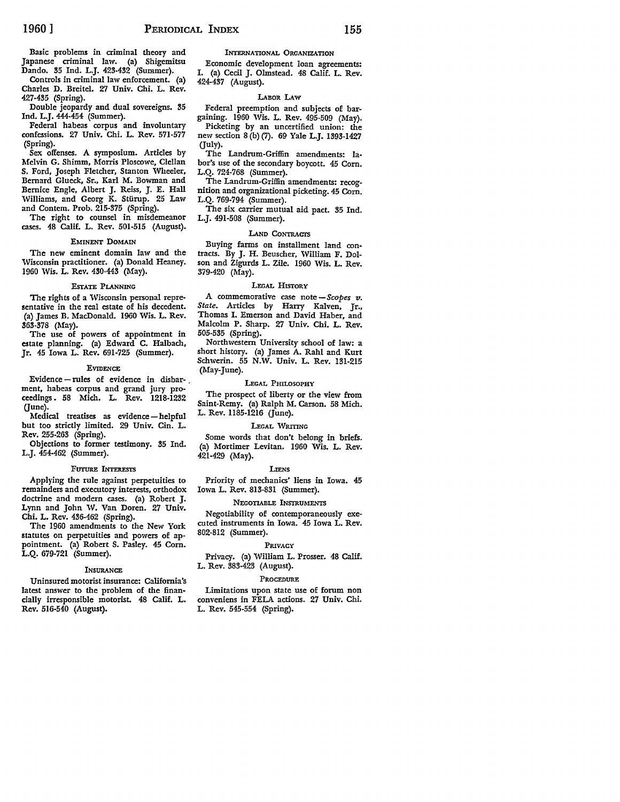Basic problems in criminal theory and Japanese criminal law. (a) Shigemitsu Dando. 35 Ind. L.J. 423-432 (Summer).

Controls in criminal law enforcement. (a) Charles D. Breitel. *Zl* Univ. Chi. L. Rev. 427-435 (Spring).

Double jeopardy and dual sovereigns. 35 Ind. L.J. 444-454 (Summer).

Federal habeas corpus and involuntary confessions. 27 Univ. Chi. L. Rev. 571-577 (Spring).

Sex offenses. A symposium. Articles by Melvin G. Shimm, Morris Ploscowe, Clellan S. Ford, Joseph Fletcher, Stanton Wheeler, Bernard Glueck, Sr., Karl M. Bowman and Bernice Engle, Albert J. Reiss, J. E. Hall Williams, and Georg K. Stürup. 25 Law and Contem. Prob. 215-375 (Spring).

The right to counsel in misdemeanor cases. 48 Calif. L. Rev. 501-515 (August).

#### EMINENT DOMAIN

The new eminent domain law and the Wisconsin practitioner. (a) Donald Heaney. 1960 Wis. L. Rev. 430-443 (May).

#### EsrATE PLANNING

The rights of a Wisconsin personal representative in the real estate of his decedent. (a) James B. MacDonald. 1960 Wis. L. Rev. 363-378 (May).

The use of powers of appointment in estate planning. (a) Edward C. Halbach, Jr. 45 Iowa L. Rev. 691-725 (Summer).

#### **EVIDENCE**

Evidence - rules of evidence in disbarment, habeas corpus and grand jury proceedings. 58 Mich. L. Rev. 1218-1232  $(June).$ 

Medical treatises as evidence-helpful but too strictly limited. 29 Univ. Cin. L. Rev. 255-263 (Spring).

Objections to former testimony. 35 Ind. L.J. 454-462 (Summer).

#### FUTURE INTERESTS

Applying the rule against perpetuities to remainders and executory interests, orthodox doctrine and modern cases. {a) Robert J. Lynn and John W. Van Doren. 27 Univ. Chi. L. Rev. 436-462 (Spring).

The 1960 amendments to the New York statutes on perpetuities and powers of appointment. (a) Robert S. Pasley. 45 Corn. L.Q. 679-721 (Summer).

#### **INSURANCE**

Uninsured motorist insurance: California's latest answer to the problem of the financially irresponsible motorist. 48 Calif. L. Rev. 516-540 (August).

INTERNATIONAL ORGANIZATION

Economic development loan agreements: I. (a) Cecil J. Olmstead. 48 Calif. L. Rev. 424-437 (August).

#### LABOR I.Aw

Federal preemption and subjects of bargaining. 1960 Wis. L. Rev. 495-509 (May). Picketing by an uncertified union: the

new section 8 (b) (7). 69 Yale L.J. 1393-1427 Guly).

The Landrum-Griffin amendments: labor's use of the secondary boycott. 45 Corn. L.Q. 724-768 (Summer).

The Landrum-Griffin amendments: recognition and organizational picketing. 45 Corn. L.Q. 769-794 (Summer).

The six carrier mutual aid pact. 35 Ind. L.J. 491-508 (Summer).

## LAND CONTRACTS

Buying farms on installment land contracts. By J. H. Beuscher, William F. Dolson and Zigurds L. Zile. 1960 Wis. L. Rev. 379-420 (May).

#### LEGAL HISTORY

A commemorative case note *-Scopes v. State.* Articles by Harry Kalven, Jr., Thomas I. Emerson and David Haber, and Malcolm P. Sharp. *Zl* Univ. Chi. L. Rev. 505-535 (Spring).

Northwestern University school of law: a short history. (a) James A. Rahl and Kurt Schwerin. 55 N.W. Univ. L. Rev. 131-215 (May-June).

#### LEGAL PHILOSOPHY

The prospect of liberty or the view from Saint-Remy. (a) Ralph M. Carson. 58 Mich. L. Rev. 1185-1216 Gune).

#### LEGAL WRITING

Some words that don't belong in briefs. (a) Mortimer Levitan. 1960 Wis. L. Rev. 421-429 (May).

#### LIENs

Priority of mechanics' liens in Iowa. 45 Iowa L. Rev. 813-831 (Summer).

## NEGOTIABLE INSTRUMENTS

Negotiability of contemporaneously executed instruments in Iowa. 45 Iowa L. Rev. 802-812 (Summer).

## PRIVACY

Privacy. (a) William L. Prosser. 48 Calif. L. Rev. 383-423 (August).

## PROCEDURE

Limitations upon state use of forum non conveniens in FELA actions. 27 Univ. Chi. L. Rev. 545-554 (Spring).